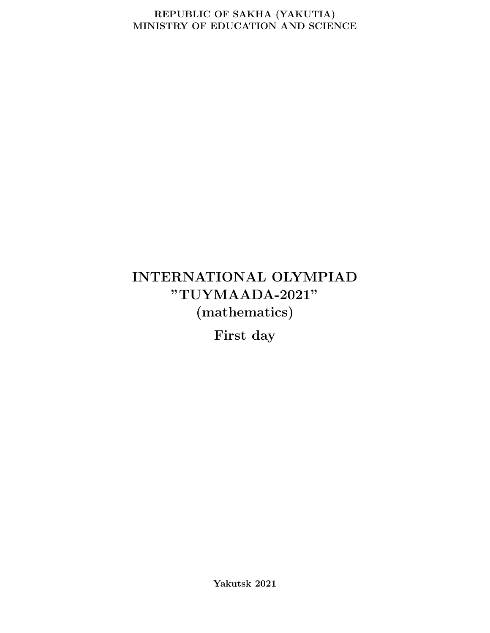#### REPUBLIC OF SAKHA (YAKUTIA) MINISTRY OF EDUCATION AND SCIENCE

# INTERNATIONAL OLYMPIAD "TUYMAADA-2021" (mathematics)

First day

Yakutsk 2021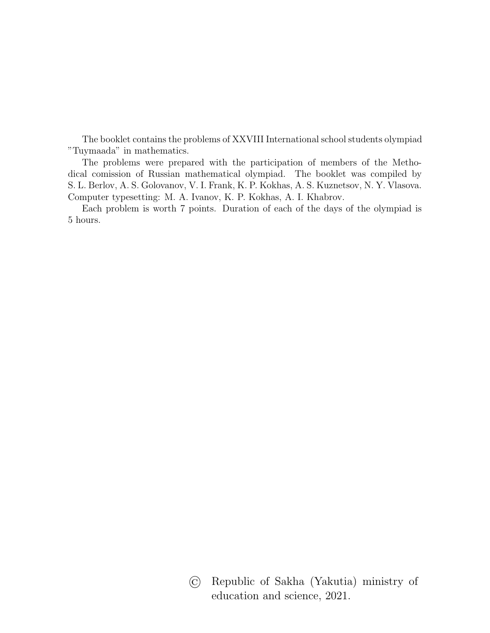The booklet contains the problems of XXVIII International school students olympiad "Tuymaada" in mathematics.

The problems were prepared with the participation of members of the Methodical comission of Russian mathematical olympiad. The booklet was compiled by S. L. Berlov, A. S. Golovanov, V. I. Frank, K. P. Kokhas, A. S. Kuznetsov, N. Y. Vlasova. Computer typesetting: M. A. Ivanov, K. P. Kokhas, A. I. Khabrov.

Each problem is worth 7 points. Duration of each of the days of the olympiad is 5 hours.

> © Republic of Sakha (Yakutia) ministry of education and science, 2021.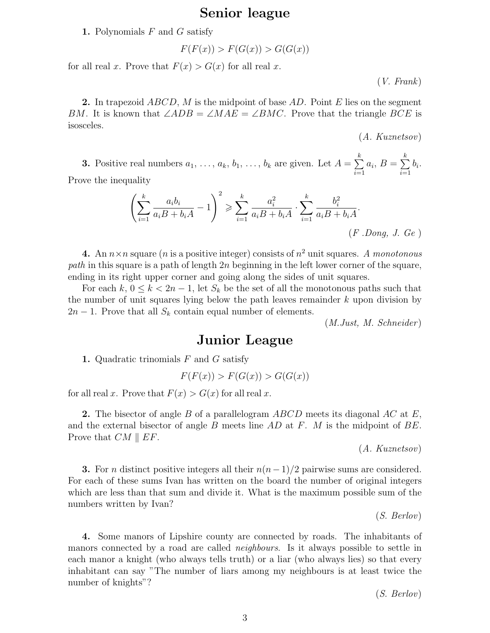#### Senior league

#### 1. Polynomials  $F$  and  $G$  satisfy

$$
F(F(x)) > F(G(x)) > G(G(x))
$$

for all real x. Prove that  $F(x) > G(x)$  for all real x.

(V. Frank)

**2.** In trapezoid  $ABCD$ , M is the midpoint of base  $AD$ . Point E lies on the segment BM. It is known that  $\angle ADB = \angle MAE = \angle BMC$ . Prove that the triangle BCE is isosceles.

(A. Kuznetsov)

**3.** Positive real numbers  $a_1, \ldots, a_k, b_1, \ldots, b_k$  are given. Let  $A = \sum$ k  $\sum_{i=1}^{\infty} a_i, B = \sum_{i=1}^{\infty}$ k  $\sum_{i=1} b_i$ . Prove the inequality

$$
\left(\sum_{i=1}^{k} \frac{a_i b_i}{a_i B + b_i A} - 1\right)^2 \ge \sum_{i=1}^{k} \frac{a_i^2}{a_i B + b_i A} \cdot \sum_{i=1}^{k} \frac{b_i^2}{a_i B + b_i A}.
$$
\n(F. Dong, J. Ge)

**4.** An  $n \times n$  square (*n* is a positive integer) consists of  $n^2$  unit squares. A monotonous *path* in this square is a path of length  $2n$  beginning in the left lower corner of the square, ending in its right upper corner and going along the sides of unit squares.

For each  $k, 0 \leq k < 2n-1$ , let  $S_k$  be the set of all the monotonous paths such that the number of unit squares lying below the path leaves remainder  $k$  upon division by  $2n-1$ . Prove that all  $S_k$  contain equal number of elements.

(M.Just, M. Schneider )

#### Junior League

1. Quadratic trinomials  $F$  and  $G$  satisfy

$$
F(F(x)) > F(G(x)) > G(G(x))
$$

for all real x. Prove that  $F(x) > G(x)$  for all real x.

**2.** The bisector of angle B of a parallelogram ABCD meets its diagonal AC at E, and the external bisector of angle B meets line  $AD$  at F. M is the midpoint of BE. Prove that  $CM \parallel EF$ .

(A. Kuznetsov)

**3.** For *n* distinct positive integers all their  $n(n-1)/2$  pairwise sums are considered. For each of these sums Ivan has written on the board the number of original integers which are less than that sum and divide it. What is the maximum possible sum of the numbers written by Ivan?

(S. Berlov)

4. Some manors of Lipshire county are connected by roads. The inhabitants of manors connected by a road are called *neighbours*. Is it always possible to settle in each manor a knight (who always tells truth) or a liar (who always lies) so that every inhabitant can say "The number of liars among my neighbours is at least twice the number of knights"?

(S. Berlov)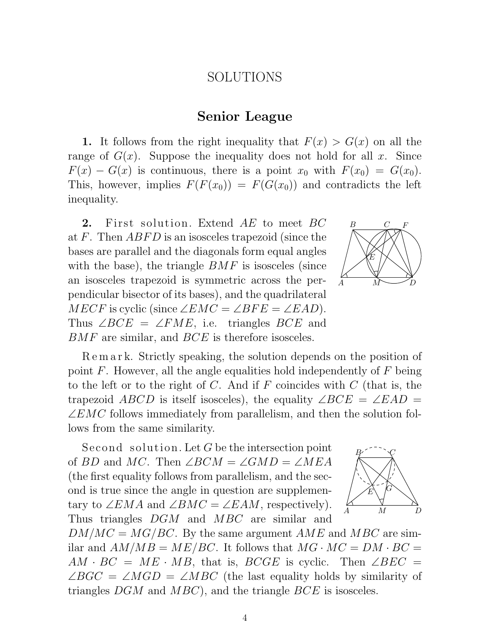### SOLUTIONS

#### Senior League

1. It follows from the right inequality that  $F(x) > G(x)$  on all the range of  $G(x)$ . Suppose the inequality does not hold for all x. Since  $F(x) - G(x)$  is continuous, there is a point  $x_0$  with  $F(x_0) = G(x_0)$ . This, however, implies  $F(F(x_0)) = F(G(x_0))$  and contradicts the left inequality.

2. First solution. Extend AE to meet BC at F. Then  $ABFD$  is an isosceles trapezoid (since the bases are parallel and the diagonals form equal angles with the base), the triangle  $BMF$  is isosceles (since an isosceles trapezoid is symmetric across the perpendicular bisector of its bases), and the quadrilateral  $MECF$  is cyclic (since  $\angle EMC = \angle BFE = \angle EAD$ ). Thus  $\angle BCE = \angle FME$ , i.e. triangles BCE and BMF are similar, and BCE is therefore isosceles.



R e m a r k. Strictly speaking, the solution depends on the position of point  $F$ . However, all the angle equalities hold independently of  $F$  being to the left or to the right of C. And if F coincides with  $C$  (that is, the trapezoid ABCD is itself isosceles), the equality  $\angle BCE = \angle EAD =$  $\angle EMC$  follows immediately from parallelism, and then the solution follows from the same similarity.

Second solution. Let  $G$  be the intersection point of BD and MC. Then  $\angle BCM = \angle GMD = \angle MEA$ (the first equality follows from parallelism, and the second is true since the angle in question are supplementary to  $\angle EMA$  and  $\angle BMC = \angle EAM$ , respectively). Thus triangles DGM and MBC are similar and



 $DM/MC = MG/BC$ . By the same argument  $AME$  and  $MBC$  are similar and  $AM/MB = ME/BC$ . It follows that  $MG \cdot MC = DM \cdot BC =$  $AM \cdot BC = ME \cdot MB$ , that is,  $BCGE$  is cyclic. Then  $\angle BEC =$  $\angle BGC = \angle MGD = \angle MBC$  (the last equality holds by similarity of triangles  $DGM$  and  $MBC$ ), and the triangle  $BCE$  is isosceles.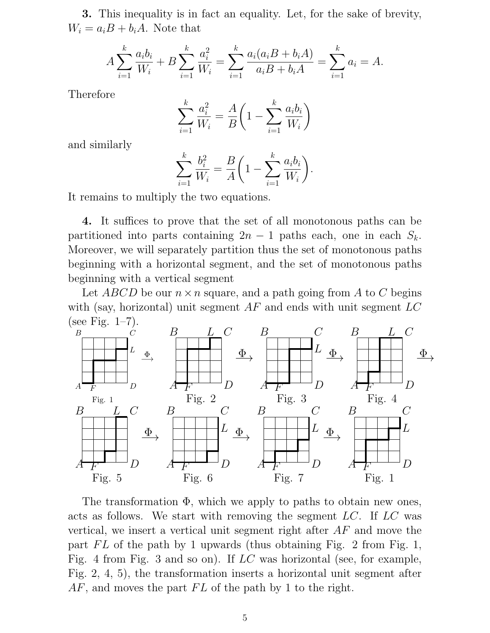3. This inequality is in fact an equality. Let, for the sake of brevity,  $W_i = a_i B + b_i A$ . Note that

$$
A\sum_{i=1}^{k} \frac{a_i b_i}{W_i} + B\sum_{i=1}^{k} \frac{a_i^2}{W_i} = \sum_{i=1}^{k} \frac{a_i(a_i B + b_i A)}{a_i B + b_i A} = \sum_{i=1}^{k} a_i = A.
$$

Therefore

$$
\sum_{i=1}^{k} \frac{a_i^2}{W_i} = \frac{A}{B} \left( 1 - \sum_{i=1}^{k} \frac{a_i b_i}{W_i} \right)
$$

and similarly

$$
\sum_{i=1}^{k} \frac{b_i^2}{W_i} = \frac{B}{A} \left( 1 - \sum_{i=1}^{k} \frac{a_i b_i}{W_i} \right).
$$

It remains to multiply the two equations.

4. It suffices to prove that the set of all monotonous paths can be partitioned into parts containing  $2n - 1$  paths each, one in each  $S_k$ . Moreover, we will separately partition thus the set of monotonous paths beginning with a horizontal segment, and the set of monotonous paths beginning with a vertical segment

Let ABCD be our  $n \times n$  square, and a path going from A to C begins with (say, horizontal) unit segment  $AF$  and ends with unit segment  $LC$ (see Fig.  $1-7$ ).



The transformation Φ, which we apply to paths to obtain new ones, acts as follows. We start with removing the segment LC. If LC was vertical, we insert a vertical unit segment right after AF and move the part  $FL$  of the path by 1 upwards (thus obtaining Fig. 2 from Fig. 1, Fig. 4 from Fig. 3 and so on). If LC was horizontal (see, for example, Fig. 2, 4, 5), the transformation inserts a horizontal unit segment after  $AF$ , and moves the part  $FL$  of the path by 1 to the right.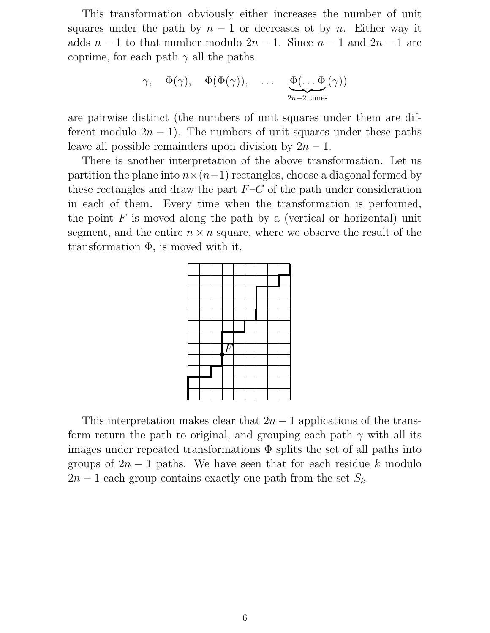This transformation obviously either increases the number of unit squares under the path by  $n-1$  or decreases ot by n. Either way it adds  $n-1$  to that number modulo  $2n-1$ . Since  $n-1$  and  $2n-1$  are coprime, for each path  $\gamma$  all the paths

$$
\gamma
$$
,  $\Phi(\gamma)$ ,  $\Phi(\Phi(\gamma))$ , ...,  $\underbrace{\Phi(\dots \Phi(\gamma))}_{2n-2 \text{ times}}$ 

are pairwise distinct (the numbers of unit squares under them are different modulo  $2n - 1$ ). The numbers of unit squares under these paths leave all possible remainders upon division by  $2n - 1$ .

There is another interpretation of the above transformation. Let us partition the plane into  $n \times (n-1)$  rectangles, choose a diagonal formed by these rectangles and draw the part  $F-C$  of the path under consideration in each of them. Every time when the transformation is performed, the point  $F$  is moved along the path by a (vertical or horizontal) unit segment, and the entire  $n \times n$  square, where we observe the result of the transformation  $\Phi$ , is moved with it.



This interpretation makes clear that  $2n - 1$  applications of the transform return the path to original, and grouping each path  $\gamma$  with all its images under repeated transformations  $\Phi$  splits the set of all paths into groups of  $2n - 1$  paths. We have seen that for each residue k modulo  $2n-1$  each group contains exactly one path from the set  $S_k$ .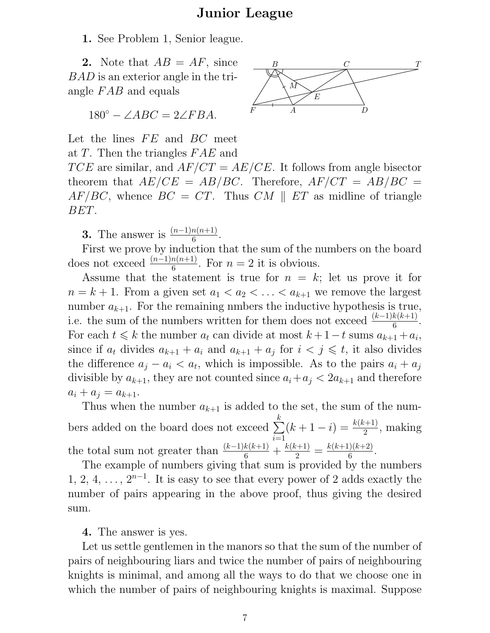## Junior League

1. See Problem 1, Senior league.

2. Note that  $AB = AF$ , since  $B = G$ BAD is an exterior angle in the triangle  $FAB$  and equals

$$
180^\circ - \angle ABC = 2\angle FBA.
$$

Let the lines  $FE$  and  $BC$  meet at  $T$ . Then the triangles  $FAE$  and

 $TCE$  are similar, and  $AF/CT = AE/CE$ . It follows from angle bisector theorem that  $AE/CE = AB/BC$ . Therefore,  $AF/CT = AB/BC$  $AF/BC$ , whence  $BC = CT$ . Thus  $CM \parallel ET$  as midline of triangle BET.

**3.** The answer is  $\frac{(n-1)n(n+1)}{6}$ .

First we prove by induction that the sum of the numbers on the board does not exceed  $\frac{(n-1)n(n+1)}{6}$ . For  $n = 2$  it is obvious.

Assume that the statement is true for  $n = k$ ; let us prove it for  $n = k + 1$ . From a given set  $a_1 < a_2 < \ldots < a_{k+1}$  we remove the largest number  $a_{k+1}$ . For the remaining nmbers the inductive hypothesis is true, i.e. the sum of the numbers written for them does not exceed  $\frac{(k-1)k(k+1)}{6}$ . For each  $t \leq k$  the number  $a_t$  can divide at most  $k + 1 - t$  sums  $a_{k+1} + a_i$ , since if  $a_t$  divides  $a_{k+1} + a_i$  and  $a_{k+1} + a_j$  for  $i < j \leq t$ , it also divides the difference  $a_j - a_i < a_t$ , which is impossible. As to the pairs  $a_i + a_j$ divisible by  $a_{k+1}$ , they are not counted since  $a_i + a_j < 2a_{k+1}$  and therefore  $a_i + a_j = a_{k+1}.$ 

Thus when the number  $a_{k+1}$  is added to the set, the sum of the numbers added on the board does not exceed  $\sum$ k  $i=1$  $(k+1-i) = \frac{k(k+1)}{2}$ , making the total sum not greater than  $\frac{(k-1)k(k+1)}{6} + \frac{k(k+1)}{2} = \frac{k(k+1)(k+2)}{6}$  $\frac{1}{6}$ .

The example of numbers giving that sum is provided by the numbers 1, 2, 4, ...,  $2^{n-1}$ . It is easy to see that every power of 2 adds exactly the number of pairs appearing in the above proof, thus giving the desired sum.

4. The answer is yes.

Let us settle gentlemen in the manors so that the sum of the number of pairs of neighbouring liars and twice the number of pairs of neighbouring knights is minimal, and among all the ways to do that we choose one in which the number of pairs of neighbouring knights is maximal. Suppose